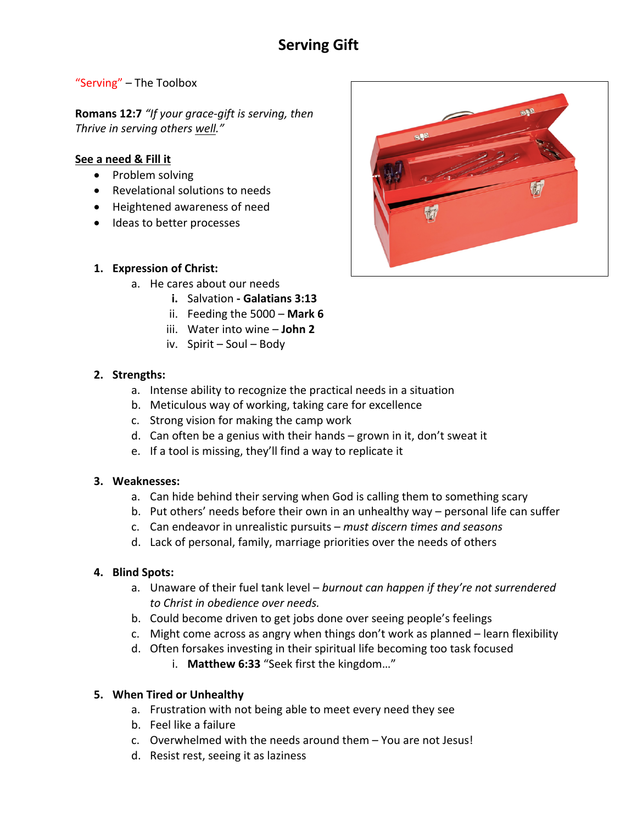# **Serving Gift**

#### "Serving" – The Toolbox

**Romans 12:7** *"If your grace-gift is serving, then Thrive in serving others well."*

#### **See a need & Fill it**

- Problem solving
- Revelational solutions to needs
- Heightened awareness of need
- Ideas to better processes

#### **1. Expression of Christ:**

- a. He cares about our needs
	- **i.** Salvation **- Galatians 3:13**
	- ii. Feeding the 5000 **Mark 6**
	- iii. Water into wine **John 2**
	- iv. Spirit Soul Body

#### **2. Strengths:**

- a. Intense ability to recognize the practical needs in a situation
- b. Meticulous way of working, taking care for excellence
- c. Strong vision for making the camp work
- d. Can often be a genius with their hands grown in it, don't sweat it
- e. If a tool is missing, they'll find a way to replicate it

#### **3. Weaknesses:**

- a. Can hide behind their serving when God is calling them to something scary
- b. Put others' needs before their own in an unhealthy way personal life can suffer
- c. Can endeavor in unrealistic pursuits *must discern times and seasons*
- d. Lack of personal, family, marriage priorities over the needs of others

## **4. Blind Spots:**

- a. Unaware of their fuel tank level *burnout can happen if they're not surrendered to Christ in obedience over needs.*
- b. Could become driven to get jobs done over seeing people's feelings
- c. Might come across as angry when things don't work as planned learn flexibility
- d. Often forsakes investing in their spiritual life becoming too task focused i. **Matthew 6:33** "Seek first the kingdom…"

## **5. When Tired or Unhealthy**

- a. Frustration with not being able to meet every need they see
- b. Feel like a failure
- c. Overwhelmed with the needs around them You are not Jesus!
- d. Resist rest, seeing it as laziness